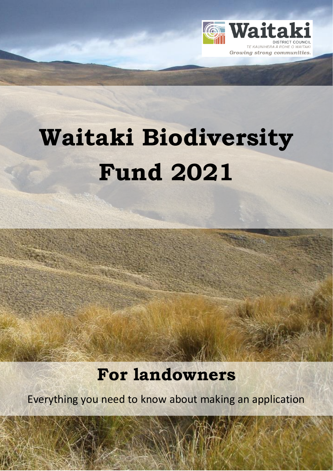

# **Waitaki Biodiversity Fund 2021**

## **For landowners**

Everything you need to know about making an application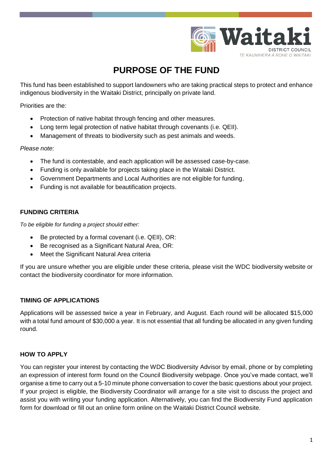

### **PURPOSE OF THE FUND**

This fund has been established to support landowners who are taking practical steps to protect and enhance indigenous biodiversity in the Waitaki District, principally on private land.

Priorities are the:

- Protection of native habitat through fencing and other measures.
- Long term legal protection of native habitat through covenants (i.e. QEII).
- Management of threats to biodiversity such as pest animals and weeds.

*Please note:*

- The fund is contestable, and each application will be assessed case-by-case.
- Funding is only available for projects taking place in the Waitaki District.
- Government Departments and Local Authorities are not eligible for funding.
- Funding is not available for beautification projects.

#### **FUNDING CRITERIA**

*To be eligible for funding a project should either:*

- Be protected by a formal covenant (i.e. QEII), OR:
- Be recognised as a Significant Natural Area, OR:
- Meet the Significant Natural Area criteria

If you are unsure whether you are eligible under these criteria, please visit the WDC biodiversity website or contact the biodiversity coordinator for more information.

#### **TIMING OF APPLICATIONS**

Applications will be assessed twice a year in February, and August. Each round will be allocated \$15,000 with a total fund amount of \$30,000 a year. It is not essential that all funding be allocated in any given funding round.

#### **HOW TO APPLY**

You can register your interest by contacting the WDC Biodiversity Advisor by email, phone or by completing an expression of interest form found on the Council Biodiversity webpage. Once you've made contact, we'll organise a time to carry out a 5-10 minute phone conversation to cover the basic questions about your project. If your project is eligible, the Biodiversity Coordinator will arrange for a site visit to discuss the project and assist you with writing your funding application. Alternatively, you can find the Biodiversity Fund application form for download or fill out an online form online on the Waitaki District Council website.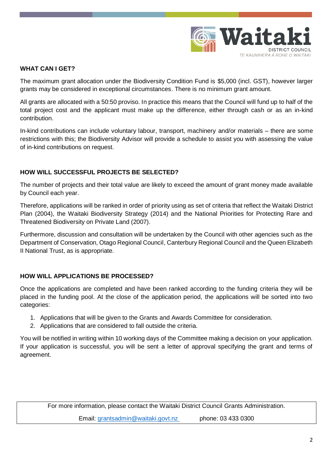

#### **WHAT CAN I GET?**

The maximum grant allocation under the Biodiversity Condition Fund is \$5,000 (incl. GST), however larger grants may be considered in exceptional circumstances. There is no minimum grant amount.

All grants are allocated with a 50:50 proviso. In practice this means that the Council will fund up to half of the total project cost and the applicant must make up the difference, either through cash or as an in-kind contribution.

In-kind contributions can include voluntary labour, transport, machinery and/or materials – there are some restrictions with this; the Biodiversity Advisor will provide a schedule to assist you with assessing the value of in-kind contributions on request.

#### **HOW WILL SUCCESSFUL PROJECTS BE SELECTED?**

The number of projects and their total value are likely to exceed the amount of grant money made available by Council each year.

Therefore, applications will be ranked in order of priority using as set of criteria that reflect the Waitaki District Plan (2004), the Waitaki Biodiversity Strategy (2014) and the National Priorities for Protecting Rare and Threatened Biodiversity on Private Land (2007).

Furthermore, discussion and consultation will be undertaken by the Council with other agencies such as the Department of Conservation, Otago Regional Council, Canterbury Regional Council and the Queen Elizabeth II National Trust, as is appropriate.

#### **HOW WILL APPLICATIONS BE PROCESSED?**

Once the applications are completed and have been ranked according to the funding criteria they will be placed in the funding pool. At the close of the application period, the applications will be sorted into two categories:

- 1. Applications that will be given to the Grants and Awards Committee for consideration.
- 2. Applications that are considered to fall outside the criteria.

You will be notified in writing within 10 working days of the Committee making a decision on your application. If your application is successful, you will be sent a letter of approval specifying the grant and terms of agreement.

For more information, please contact the Waitaki District Council Grants Administration. Email: [grantsadmin@waitaki.govt.nz](mailto:mcrowe@waitaki.govt.nz) phone: 03 433 0300